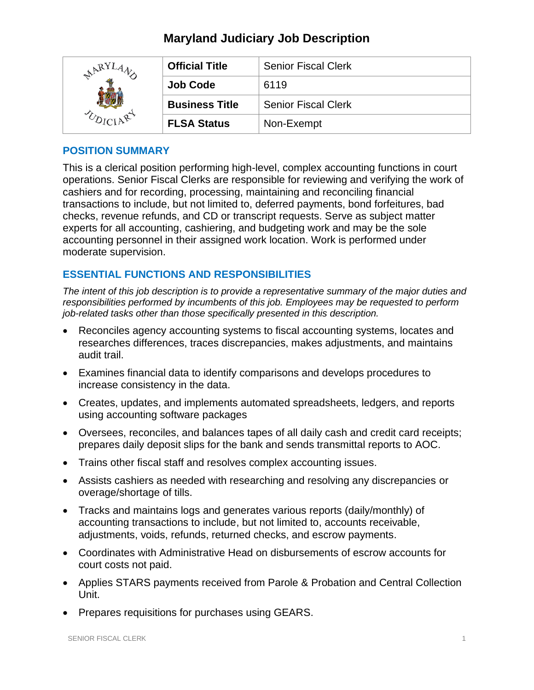## **Maryland Judiciary Job Description**

| $R_{\rm X}$ | <b>Official Title</b> | <b>Senior Fiscal Clerk</b> |
|-------------|-----------------------|----------------------------|
|             | <b>Job Code</b>       | 6119                       |
|             | <b>Business Title</b> | <b>Senior Fiscal Clerk</b> |
|             | <b>FLSA Status</b>    | Non-Exempt                 |

#### **POSITION SUMMARY**

This is a clerical position performing high-level, complex accounting functions in court operations. Senior Fiscal Clerks are responsible for reviewing and verifying the work of cashiers and for recording, processing, maintaining and reconciling financial transactions to include, but not limited to, deferred payments, bond forfeitures, bad checks, revenue refunds, and CD or transcript requests. Serve as subject matter experts for all accounting, cashiering, and budgeting work and may be the sole accounting personnel in their assigned work location. Work is performed under moderate supervision.

## **ESSENTIAL FUNCTIONS AND RESPONSIBILITIES**

*The intent of this job description is to provide a representative summary of the major duties and responsibilities performed by incumbents of this job. Employees may be requested to perform job-related tasks other than those specifically presented in this description.*

- Reconciles agency accounting systems to fiscal accounting systems, locates and researches differences, traces discrepancies, makes adjustments, and maintains audit trail.
- Examines financial data to identify comparisons and develops procedures to increase consistency in the data.
- Creates, updates, and implements automated spreadsheets, ledgers, and reports using accounting software packages
- Oversees, reconciles, and balances tapes of all daily cash and credit card receipts; prepares daily deposit slips for the bank and sends transmittal reports to AOC.
- Trains other fiscal staff and resolves complex accounting issues.
- Assists cashiers as needed with researching and resolving any discrepancies or overage/shortage of tills.
- Tracks and maintains logs and generates various reports (daily/monthly) of accounting transactions to include, but not limited to, accounts receivable, adjustments, voids, refunds, returned checks, and escrow payments.
- Coordinates with Administrative Head on disbursements of escrow accounts for court costs not paid.
- Applies STARS payments received from Parole & Probation and Central Collection Unit.
- Prepares requisitions for purchases using GEARS.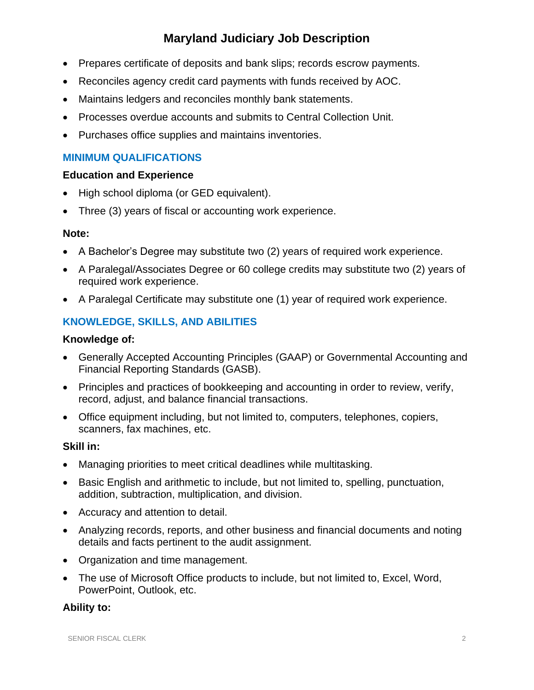# **Maryland Judiciary Job Description**

- Prepares certificate of deposits and bank slips; records escrow payments.
- Reconciles agency credit card payments with funds received by AOC.
- Maintains ledgers and reconciles monthly bank statements.
- Processes overdue accounts and submits to Central Collection Unit.
- Purchases office supplies and maintains inventories.

## **MINIMUM QUALIFICATIONS**

#### **Education and Experience**

- High school diploma (or GED equivalent).
- Three (3) years of fiscal or accounting work experience.

#### **Note:**

- A Bachelor's Degree may substitute two (2) years of required work experience.
- A Paralegal/Associates Degree or 60 college credits may substitute two (2) years of required work experience.
- A Paralegal Certificate may substitute one (1) year of required work experience.

## **KNOWLEDGE, SKILLS, AND ABILITIES**

#### **Knowledge of:**

- Generally Accepted Accounting Principles (GAAP) or Governmental Accounting and Financial Reporting Standards (GASB).
- Principles and practices of bookkeeping and accounting in order to review, verify, record, adjust, and balance financial transactions.
- Office equipment including, but not limited to, computers, telephones, copiers, scanners, fax machines, etc.

#### **Skill in:**

- Managing priorities to meet critical deadlines while multitasking.
- Basic English and arithmetic to include, but not limited to, spelling, punctuation, addition, subtraction, multiplication, and division.
- Accuracy and attention to detail.
- Analyzing records, reports, and other business and financial documents and noting details and facts pertinent to the audit assignment.
- Organization and time management.
- The use of Microsoft Office products to include, but not limited to, Excel, Word, PowerPoint, Outlook, etc.

## **Ability to:**